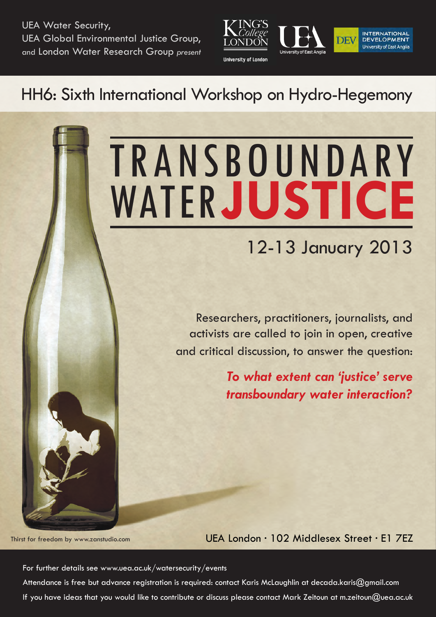[UEA Water Security,](http://www.uea.ac.uk/watersecurity) [UEA Global Environmental Justice Group,](http://www.uea.ac.uk/international-development/research/research-themes/environmental-justice) and [London Water Research Group](http://lwrg.org/) *present*



# HH6: Sixth International Workshop on Hydro-Hegemony

# **TRANSBOUNDARY** WATER**JUSTICE**

# 12-13 January 2013

Researchers, practitioners, journalists, and activists are called to join in open, creative and critical discussion, to answer the question:

> *To what extent can 'justice' serve transboundary water interaction?*

Thirst for freedom by www.zanstudio.com

UEA London · 102 Middlesex Street · E1 7EZ

For further details see [www.uea.ac.uk/watersecurity/events](http://www.uea.ac.uk/watersecurity/events) Attendance is free but advance registration is required: contact Karis McLaughlin at [decada.karis@gmail.com](mailto:decada.karis@gmail.com) If you have ideas that you would like to contribute or discuss please contact Mark Zeitoun at [m.zeitoun@uea.ac.uk](mailto:m.zeitoun@uea.ac.uk)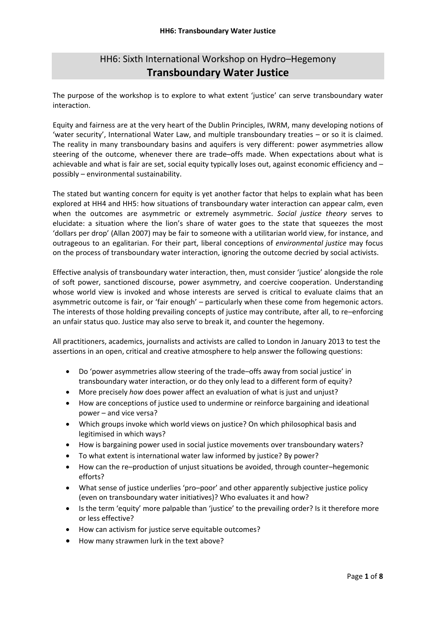# HH6: Sixth International Workshop on Hydro–Hegemony **Transboundary Water Justice**

The purpose of the workshop is to explore to what extent 'justice' can serve transboundary water interaction.

Equity and fairness are at the very heart of the Dublin Principles, IWRM, many developing notions of 'water security', International Water Law, and multiple transboundary treaties – or so it is claimed. The reality in many transboundary basins and aquifers is very different: power asymmetries allow steering of the outcome, whenever there are trade–offs made. When expectations about what is achievable and what is fair are set, social equity typically loses out, against economic efficiency and – possibly – environmental sustainability.

The stated but wanting concern for equity is yet another factor that helps to explain what has been explored at HH4 and HH5: how situations of transboundary water interaction can appear calm, even when the outcomes are asymmetric or extremely asymmetric. *Social justice theory* serves to elucidate: a situation where the lion's share of water goes to the state that squeezes the most 'dollars per drop' (Allan 2007) may be fair to someone with a utilitarian world view, for instance, and outrageous to an egalitarian. For their part, liberal conceptions of *environmental justice* may focus on the process of transboundary water interaction, ignoring the outcome decried by social activists.

Effective analysis of transboundary water interaction, then, must consider 'justice' alongside the role of soft power, sanctioned discourse, power asymmetry, and coercive cooperation. Understanding whose world view is invoked and whose interests are served is critical to evaluate claims that an asymmetric outcome is fair, or 'fair enough' – particularly when these come from hegemonic actors. The interests of those holding prevailing concepts of justice may contribute, after all, to re–enforcing an unfair status quo. Justice may also serve to break it, and counter the hegemony.

All practitioners, academics, journalists and activists are called to London in January 2013 to test the assertions in an open, critical and creative atmosphere to help answer the following questions:

- Do 'power asymmetries allow steering of the trade–offs away from social justice' in transboundary water interaction, or do they only lead to a different form of equity?
- More precisely *how* does power affect an evaluation of what is just and unjust?
- How are conceptions of justice used to undermine or reinforce bargaining and ideational power – and vice versa?
- Which groups invoke which world views on justice? On which philosophical basis and legitimised in which ways?
- How is bargaining power used in social justice movements over transboundary waters?
- To what extent is international water law informed by justice? By power?
- How can the re–production of unjust situations be avoided, through counter–hegemonic efforts?
- What sense of justice underlies 'pro–poor' and other apparently subjective justice policy (even on transboundary water initiatives)? Who evaluates it and how?
- Is the term 'equity' more palpable than 'justice' to the prevailing order? Is it therefore more or less effective?
- How can activism for justice serve equitable outcomes?
- How many strawmen lurk in the text above?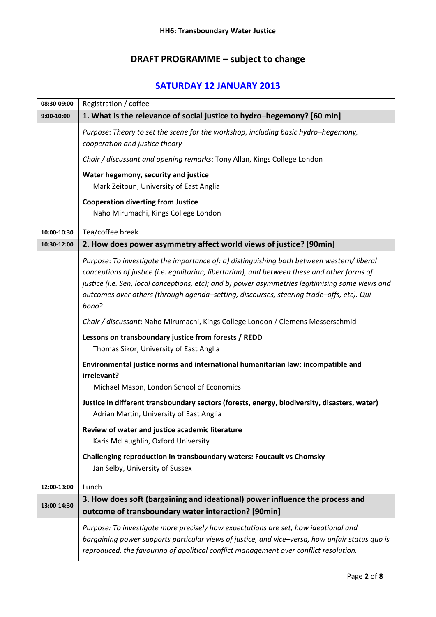# **DRAFT PROGRAMME – subject to change**

# **SATURDAY 12 JANUARY 2013**

| 08:30-09:00 | Registration / coffee                                                                                                                                                                                                                                                                                                                                                                               |
|-------------|-----------------------------------------------------------------------------------------------------------------------------------------------------------------------------------------------------------------------------------------------------------------------------------------------------------------------------------------------------------------------------------------------------|
| 9:00-10:00  | 1. What is the relevance of social justice to hydro-hegemony? [60 min]                                                                                                                                                                                                                                                                                                                              |
|             | Purpose: Theory to set the scene for the workshop, including basic hydro-hegemony,<br>cooperation and justice theory                                                                                                                                                                                                                                                                                |
|             | Chair / discussant and opening remarks: Tony Allan, Kings College London                                                                                                                                                                                                                                                                                                                            |
|             | Water hegemony, security and justice                                                                                                                                                                                                                                                                                                                                                                |
|             | Mark Zeitoun, University of East Anglia                                                                                                                                                                                                                                                                                                                                                             |
|             | <b>Cooperation diverting from Justice</b>                                                                                                                                                                                                                                                                                                                                                           |
|             | Naho Mirumachi, Kings College London                                                                                                                                                                                                                                                                                                                                                                |
| 10:00-10:30 | Tea/coffee break                                                                                                                                                                                                                                                                                                                                                                                    |
| 10:30-12:00 | 2. How does power asymmetry affect world views of justice? [90min]                                                                                                                                                                                                                                                                                                                                  |
|             | Purpose: To investigate the importance of: a) distinguishing both between western/ liberal<br>conceptions of justice (i.e. eqalitarian, libertarian), and between these and other forms of<br>justice (i.e. Sen, local conceptions, etc); and b) power asymmetries legitimising some views and<br>outcomes over others (through agenda-setting, discourses, steering trade-offs, etc). Qui<br>bono? |
|             | Chair / discussant: Naho Mirumachi, Kings College London / Clemens Messerschmid                                                                                                                                                                                                                                                                                                                     |
|             | Lessons on transboundary justice from forests / REDD<br>Thomas Sikor, University of East Anglia                                                                                                                                                                                                                                                                                                     |
|             | Environmental justice norms and international humanitarian law: incompatible and<br>irrelevant?                                                                                                                                                                                                                                                                                                     |
|             | Michael Mason, London School of Economics                                                                                                                                                                                                                                                                                                                                                           |
|             | Justice in different transboundary sectors (forests, energy, biodiversity, disasters, water)<br>Adrian Martin, University of East Anglia                                                                                                                                                                                                                                                            |
|             | Review of water and justice academic literature<br>Karis McLaughlin, Oxford University                                                                                                                                                                                                                                                                                                              |
|             | Challenging reproduction in transboundary waters: Foucault vs Chomsky<br>Jan Selby, University of Sussex                                                                                                                                                                                                                                                                                            |
| 12:00-13:00 | Lunch                                                                                                                                                                                                                                                                                                                                                                                               |
| 13:00-14:30 | 3. How does soft (bargaining and ideational) power influence the process and                                                                                                                                                                                                                                                                                                                        |
|             | outcome of transboundary water interaction? [90min]                                                                                                                                                                                                                                                                                                                                                 |
|             | Purpose: To investigate more precisely how expectations are set, how ideational and<br>bargaining power supports particular views of justice, and vice-versa, how unfair status quo is<br>reproduced, the favouring of apolitical conflict management over conflict resolution.                                                                                                                     |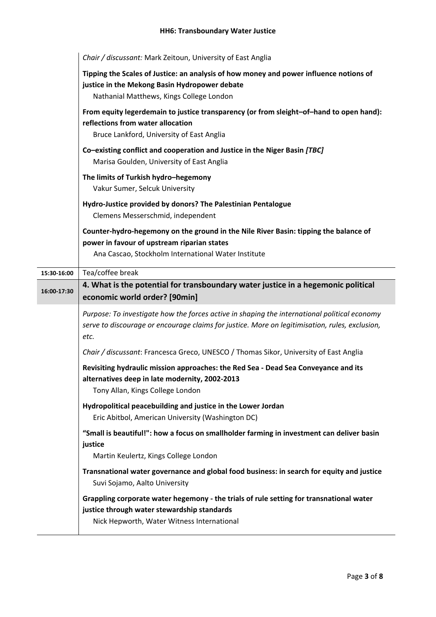|             | Chair / discussant: Mark Zeitoun, University of East Anglia                                                                                                                                            |
|-------------|--------------------------------------------------------------------------------------------------------------------------------------------------------------------------------------------------------|
|             | Tipping the Scales of Justice: an analysis of how money and power influence notions of<br>justice in the Mekong Basin Hydropower debate<br>Nathanial Matthews, Kings College London                    |
|             | From equity legerdemain to justice transparency (or from sleight-of-hand to open hand):<br>reflections from water allocation<br>Bruce Lankford, University of East Anglia                              |
|             | Co-existing conflict and cooperation and Justice in the Niger Basin [TBC]<br>Marisa Goulden, University of East Anglia                                                                                 |
|             | The limits of Turkish hydro-hegemony<br>Vakur Sumer, Selcuk University                                                                                                                                 |
|             | Hydro-Justice provided by donors? The Palestinian Pentalogue<br>Clemens Messerschmid, independent                                                                                                      |
|             | Counter-hydro-hegemony on the ground in the Nile River Basin: tipping the balance of<br>power in favour of upstream riparian states<br>Ana Cascao, Stockholm International Water Institute             |
| 15:30-16:00 | Tea/coffee break                                                                                                                                                                                       |
| 16:00-17:30 | 4. What is the potential for transboundary water justice in a hegemonic political<br>economic world order? [90min]                                                                                     |
|             | Purpose: To investigate how the forces active in shaping the international political economy<br>serve to discourage or encourage claims for justice. More on legitimisation, rules, exclusion,<br>etc. |
|             | Chair / discussant: Francesca Greco, UNESCO / Thomas Sikor, University of East Anglia                                                                                                                  |
|             | Revisiting hydraulic mission approaches: the Red Sea - Dead Sea Conveyance and its<br>alternatives deep in late modernity, 2002-2013<br>Tony Allan, Kings College London                               |
|             | Hydropolitical peacebuilding and justice in the Lower Jordan<br>Eric Abitbol, American University (Washington DC)                                                                                      |
|             | "Small is beautiful!": how a focus on smallholder farming in investment can deliver basin<br>justice<br>Martin Keulertz, Kings College London                                                          |
|             | Transnational water governance and global food business: in search for equity and justice<br>Suvi Sojamo, Aalto University                                                                             |
|             | Grappling corporate water hegemony - the trials of rule setting for transnational water<br>justice through water stewardship standards<br>Nick Hepworth, Water Witness International                   |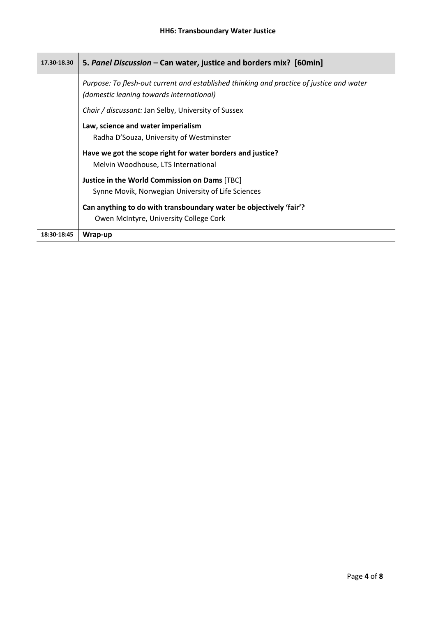| 17.30-18.30 | 5. Panel Discussion - Can water, justice and borders mix? [60min]                                                                    |
|-------------|--------------------------------------------------------------------------------------------------------------------------------------|
|             | Purpose: To flesh-out current and established thinking and practice of justice and water<br>(domestic leaning towards international) |
|             | Chair / discussant: Jan Selby, University of Sussex                                                                                  |
|             | Law, science and water imperialism<br>Radha D'Souza, University of Westminster                                                       |
|             | Have we got the scope right for water borders and justice?<br>Melvin Woodhouse, LTS International                                    |
|             | Justice in the World Commission on Dams [TBC]                                                                                        |
|             | Synne Movik, Norwegian University of Life Sciences                                                                                   |
|             | Can anything to do with transboundary water be objectively 'fair'?                                                                   |
|             | Owen McIntyre, University College Cork                                                                                               |
| 18:30-18:45 | Wrap-up                                                                                                                              |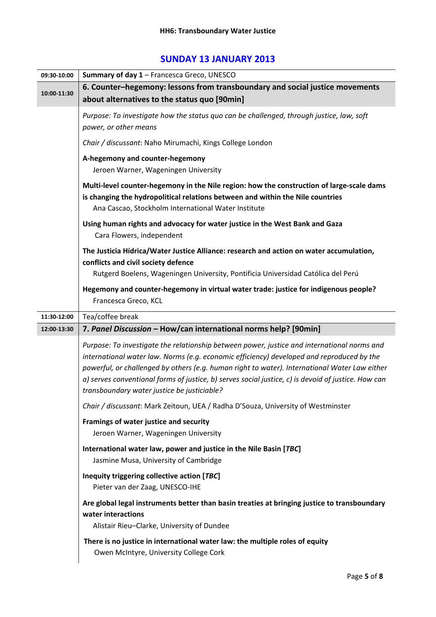## **SUNDAY 13 JANUARY 2013**

| 09:30-10:00 | Summary of day 1 - Francesca Greco, UNESCO                                                                                                                                                                                                                                                                                                                                                                                                      |
|-------------|-------------------------------------------------------------------------------------------------------------------------------------------------------------------------------------------------------------------------------------------------------------------------------------------------------------------------------------------------------------------------------------------------------------------------------------------------|
| 10:00-11:30 | 6. Counter-hegemony: lessons from transboundary and social justice movements                                                                                                                                                                                                                                                                                                                                                                    |
|             | about alternatives to the status quo [90min]                                                                                                                                                                                                                                                                                                                                                                                                    |
|             | Purpose: To investigate how the status quo can be challenged, through justice, law, soft<br>power, or other means                                                                                                                                                                                                                                                                                                                               |
|             | Chair / discussant: Naho Mirumachi, Kings College London                                                                                                                                                                                                                                                                                                                                                                                        |
|             | A-hegemony and counter-hegemony<br>Jeroen Warner, Wageningen University                                                                                                                                                                                                                                                                                                                                                                         |
|             | Multi-level counter-hegemony in the Nile region: how the construction of large-scale dams<br>is changing the hydropolitical relations between and within the Nile countries<br>Ana Cascao, Stockholm International Water Institute                                                                                                                                                                                                              |
|             | Using human rights and advocacy for water justice in the West Bank and Gaza<br>Cara Flowers, independent                                                                                                                                                                                                                                                                                                                                        |
|             | The Justicia Hídrica/Water Justice Alliance: research and action on water accumulation,<br>conflicts and civil society defence                                                                                                                                                                                                                                                                                                                  |
|             | Rutgerd Boelens, Wageningen University, Pontificia Universidad Católica del Perú                                                                                                                                                                                                                                                                                                                                                                |
|             | Hegemony and counter-hegemony in virtual water trade: justice for indigenous people?<br>Francesca Greco, KCL                                                                                                                                                                                                                                                                                                                                    |
| 11:30-12:00 | Tea/coffee break                                                                                                                                                                                                                                                                                                                                                                                                                                |
| 12:00-13:30 | 7. Panel Discussion - How/can international norms help? [90min]                                                                                                                                                                                                                                                                                                                                                                                 |
|             | Purpose: To investigate the relationship between power, justice and international norms and<br>international water law. Norms (e.g. economic efficiency) developed and reproduced by the<br>powerful, or challenged by others (e.g. human right to water). International Water Law either<br>a) serves conventional forms of justice, b) serves social justice, c) is devoid of justice. How can<br>transboundary water justice be justiciable? |
|             | Chair / discussant: Mark Zeitoun, UEA / Radha D'Souza, University of Westminster                                                                                                                                                                                                                                                                                                                                                                |
|             | Framings of water justice and security<br>Jeroen Warner, Wageningen University                                                                                                                                                                                                                                                                                                                                                                  |
|             | International water law, power and justice in the Nile Basin [TBC]<br>Jasmine Musa, University of Cambridge                                                                                                                                                                                                                                                                                                                                     |
|             | Inequity triggering collective action [TBC]<br>Pieter van der Zaag, UNESCO-IHE                                                                                                                                                                                                                                                                                                                                                                  |
|             | Are global legal instruments better than basin treaties at bringing justice to transboundary<br>water interactions<br>Alistair Rieu-Clarke, University of Dundee                                                                                                                                                                                                                                                                                |
|             | There is no justice in international water law: the multiple roles of equity<br>Owen McIntyre, University College Cork                                                                                                                                                                                                                                                                                                                          |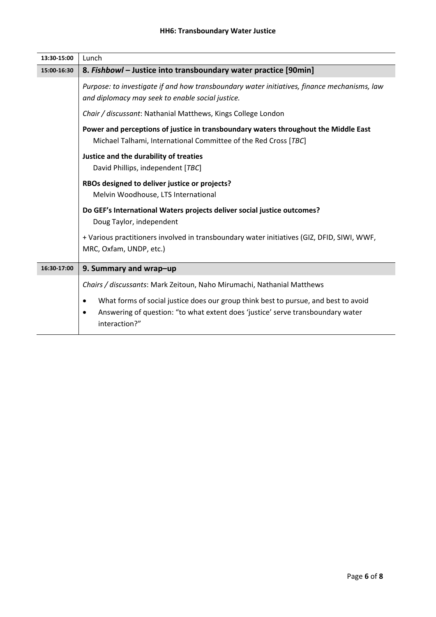| 13:30-15:00 | Lunch                                                                                                                                                                                        |
|-------------|----------------------------------------------------------------------------------------------------------------------------------------------------------------------------------------------|
| 15:00-16:30 | 8. Fishbowl - Justice into transboundary water practice [90min]                                                                                                                              |
|             | Purpose: to investigate if and how transboundary water initiatives, finance mechanisms, law<br>and diplomacy may seek to enable social justice.                                              |
|             | Chair / discussant: Nathanial Matthews, Kings College London                                                                                                                                 |
|             | Power and perceptions of justice in transboundary waters throughout the Middle East<br>Michael Talhami, International Committee of the Red Cross [TBC]                                       |
|             | Justice and the durability of treaties<br>David Phillips, independent [TBC]                                                                                                                  |
|             | RBOs designed to deliver justice or projects?<br>Melvin Woodhouse, LTS International                                                                                                         |
|             | Do GEF's International Waters projects deliver social justice outcomes?<br>Doug Taylor, independent                                                                                          |
|             | + Various practitioners involved in transboundary water initiatives (GIZ, DFID, SIWI, WWF,<br>MRC, Oxfam, UNDP, etc.)                                                                        |
| 16:30-17:00 | 9. Summary and wrap-up                                                                                                                                                                       |
|             | Chairs / discussants: Mark Zeitoun, Naho Mirumachi, Nathanial Matthews                                                                                                                       |
|             | What forms of social justice does our group think best to pursue, and best to avoid<br>Answering of question: "to what extent does 'justice' serve transboundary water<br>٠<br>interaction?" |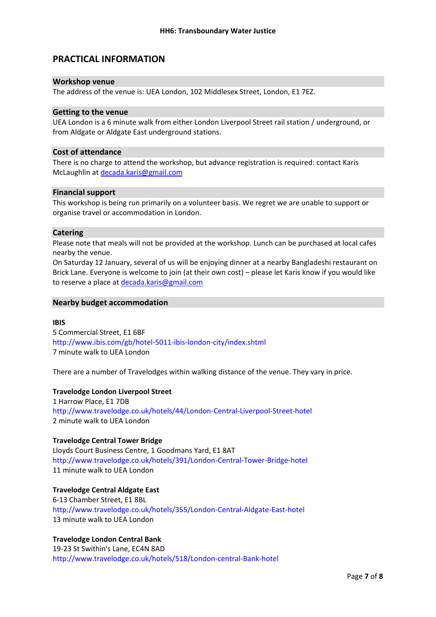## **PRACTICAL INFORMATION**

#### **Workshop venue**

The address of the venue is: UEA London, 102 Middlesex Street, London, E1 7EZ.

#### **Getting to the venue**

UEA London is a 6 minute walk from either London Liverpool Street rail station / underground, or from Aldgate or Aldgate East underground stations.

#### **Cost of attendance**

There is no charge to attend the workshop, but advance registration is required: contact Karis McLaughlin at [decada.karis@gmail.com](mailto:decada.karis@gmail.com) 

#### **Financial support**

This workshop is being run primarily on a volunteer basis. We regret we are unable to support or organise travel or accommodation in London.

#### **Catering**

Please note that meals will not be provided at the workshop. Lunch can be purchased at local cafes nearby the venue.

On Saturday 12 January, several of us will be enjoying dinner at a nearby Bangladeshi restaurant on Brick Lane. Everyone is welcome to join (at their own cost) – please let Karis know if you would like to reserve a place at [decada.karis@gmail.com](mailto:decada.karis@gmail.com)

#### **Nearby budget accommodation**

#### **IBIS**

5 Commercial Street, E1 6BF http://www.ibis.com/gb/hotel-5011-ibis-london-city/index.shtml 7 minute walk to UEA London

There are a number of Travelodges within walking distance of the venue. They vary in price.

#### **Travelodge London Liverpool Street**

1 Harrow Place, E1 7DB http://www.travelodge.co.uk/hotels/44/London-Central-Liverpool-Street-hotel 2 minute walk to UEA London

#### **Travelodge Central Tower Bridge**

Lloyds Court Business Centre, 1 Goodmans Yard, E1 8AT http://www.travelodge.co.uk/hotels/391/London-Central-Tower-Bridge-hotel 11 minute walk to UEA London

#### **Travelodge Central Aldgate East**

6-13 Chamber Street, E1 8BL http://www.travelodge.co.uk/hotels/355/London-Central-Aldgate-East-hotel 13 minute walk to UEA London

#### **Travelodge London Central Bank**

19-23 St Swithin's Lane, EC4N 8AD http://www.travelodge.co.uk/hotels/518/London-central-Bank-hotel